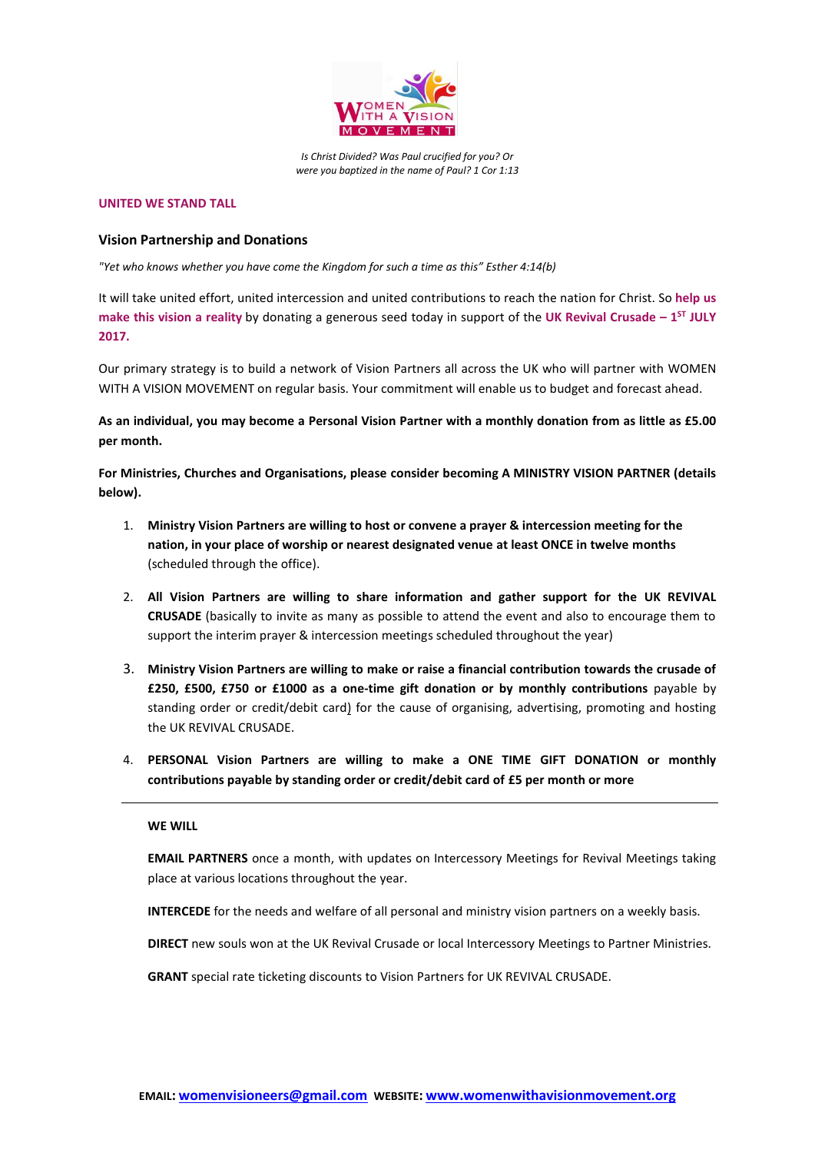

*Is Christ Divided? Was Paul crucified for you? Or were you baptized in the name of Paul? 1 Cor 1:13*

#### **UNITED WE STAND TALL**

#### **Vision Partnership and Donations**

*"Yet who knows whether you have come the Kingdom for such a time as this" Esther 4:14(b)*

It will take united effort, united intercession and united contributions to reach the nation for Christ. So **help us make this vision a reality** by donating a generous seed today in support of the **UK Revival Crusade – 1 ST JULY 2017.**

Our primary strategy is to build a network of Vision Partners all across the UK who will partner with WOMEN WITH A VISION MOVEMENT on regular basis. Your commitment will enable us to budget and forecast ahead.

**As an individual, you may become a Personal Vision Partner with a monthly donation from as little as £5.00 per month.**

**For Ministries, Churches and Organisations, please consider becoming A MINISTRY VISION PARTNER (details below).**

- 1. **Ministry Vision Partners are willing to host or convene a prayer & intercession meeting for the nation, in your place of worship or nearest designated venue at least ONCE in twelve months** (scheduled through the office).
- 2. **All Vision Partners are willing to share information and gather support for the UK REVIVAL CRUSADE** (basically to invite as many as possible to attend the event and also to encourage them to support the interim prayer & intercession meetings scheduled throughout the year)
- 3. **Ministry Vision Partners are willing to make or raise a financial contribution towards the crusade of £250, £500, £750 or £1000 as a one-time gift donation or by monthly contributions** payable by standing order or credit/debit card) for the cause of organising, advertising, promoting and hosting the UK REVIVAL CRUSADE.
- 4. **PERSONAL Vision Partners are willing to make a ONE TIME GIFT DONATION or monthly contributions payable by standing order or credit/debit card of £5 per month or more**

#### **WE WILL**

**EMAIL PARTNERS** once a month, with updates on Intercessory Meetings for Revival Meetings taking place at various locations throughout the year.

**INTERCEDE** for the needs and welfare of all personal and ministry vision partners on a weekly basis.

**DIRECT** new souls won at the UK Revival Crusade or local Intercessory Meetings to Partner Ministries.

**GRANT** special rate ticketing discounts to Vision Partners for UK REVIVAL CRUSADE.